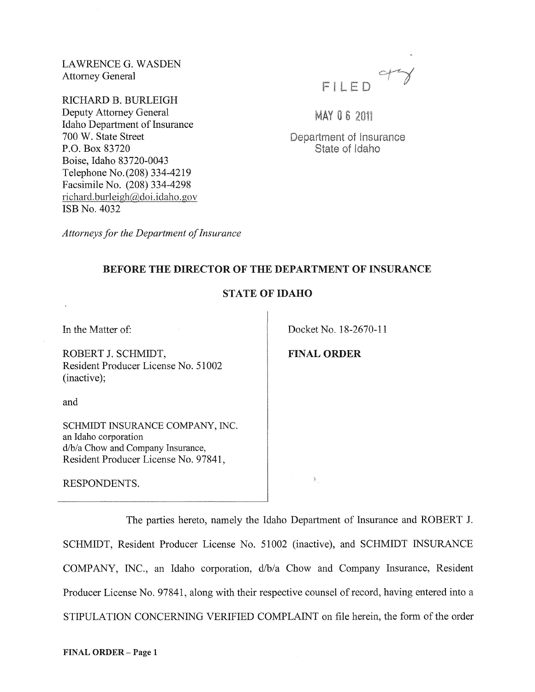LAWRENCE G. WASDEN Attorney General

RICHARD B. BURLEIGH Deputy Attorney General Idaho Department of Insurance 700 W. State Street P.O. Box 83720 Boise, Idaho 83720-0043 Telephone No. (208) 334-4219 Facsimile No. (208) 334-4298 richard.burleigh@doi.idaho.gov ISB No. 4032



**MAY 06 2011** 

Department of Insurance State of Idaho

*Attorneys for the Department of Insurance* 

## BEFORE THE DIRECTOR OF THE DEPARTMENT OF INSURANCE

## STATE OF IDAHO

In the Matter of:

ROBERT J. SCHMIDT, Resident Producer License No. 51002 (inactive);

and

SCHMIDT INSURANCE COMPANY, INC. an Idaho corporation d/b/a Chow and Company Insurance, Resident Producer License No. 97841,

RESPONDENTS.

Docket No. 18-2670-11

FINAL ORDER

 $\mathbb{R}_+$ 

The parties hereto, namely the Idaho Department of Insurance and ROBERT J. SCHMIDT, Resident Producer License No. 51002 (inactive), and SCHMIDT INSURANCE COMPANY, INC., an Idaho corporation, d/b/a Chow and Company Insurance, Resident Producer License No. 97841, along with their respective counsel of record, having entered into a STIPULATION CONCERNING VERIFIED COMPLAINT on file herein, the form of the order

FINAL ORDER - Page 1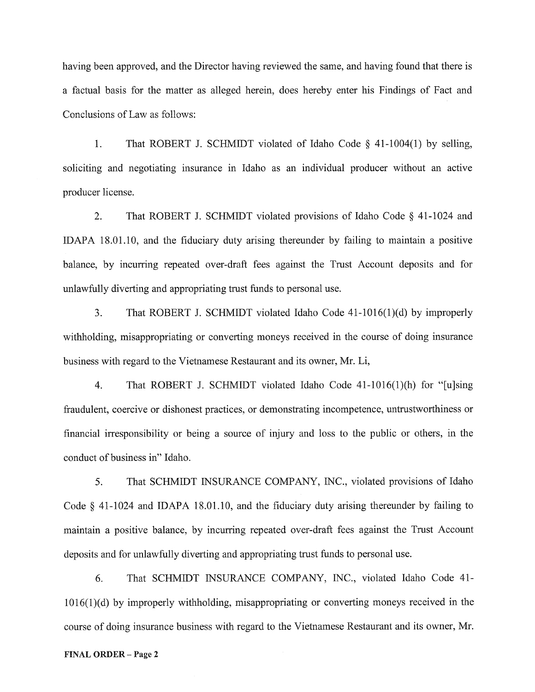having been approved, and the Director having reviewed the same, and having found that there is a factual basis for the matter as alleged herein, does hereby enter his Findings of Fact and Conclusions of Law as follows:

1. That ROBERT J. SCHMIDT violated of Idaho Code § 41-1004(1) by selling, soliciting and negotiating insurance in Idaho as an individual producer without an active producer license.

2. That ROBERT J. SCHMIDT violated provisions of Idaho Code § 41-1024 and IDAPA 18.01.10, and the fiduciary duty arising thereunder by failing to maintain a positive balance, by incurring repeated over-draft fees against the Trust Account deposits and for unlawfully diverting and appropriating trust funds to personal use.

3. That ROBERT J. SCHMIDT violated Idaho Code 41-1016(1)(d) by improperly withholding, misappropriating or converting moneys received in the course of doing insurance business with regard to the Vietnamese Restaurant and its owner, Mr. Li,

4. That ROBERT J. SCHMIDT violated Idaho Code 41-1016(1)(h) for "[uJsing fraudulent, coercive or dishonest practices, or demonstrating incompetence, untrustworthiness or financial irresponsibility or being a source of injury and loss to the public or others, in the conduct of business in" Idaho.

5. That SCHMIDT INSURANCE COMPANY, INC., violated provisions of Idaho Code § 41-1024 and IDAPA 18.01.10, and the fiduciary duty arising thereunder by failing to maintain a positive balance, by incurring repeated over-draft fees against the Trust Account deposits and for unlawfully diverting and appropriating trust funds to personal use.

6. That SCHMIDT INSURANCE COMPANY, INC., violated Idaho Code 41- 1016(1)(d) by improperly withholding, misappropriating or converting moneys received in the course of doing insurance business with regard to the Vietnamese Restaurant and its owner, Mr.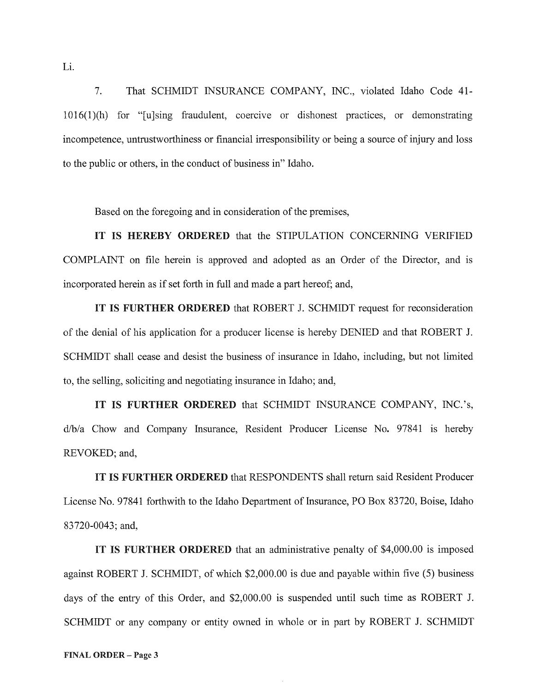7. That SCHMIDT INSURANCE COMPANY, INC., violated Idaho Code 41- 1016(1)(h) for "[u]sing fraudulent, coercive or dishonest practices, or demonstrating incompetence, untrustworthiness or financial irresponsibility or being a source of injury and loss to the public or others, in the conduct of business in" Idaho.

Based on the foregoing and in consideration of the premises,

IT IS HEREBY ORDERED that the STIPULATION CONCERNING VERIFIED COMPLAINT on file herein is approved and adopted as an Order of the Director, and is incorporated herein as if set forth in full and made a part hereof; and,

IT IS FURTHER ORDERED that ROBERT J. SCHMIDT request for reconsideration of the denial of his application for a producer license is hereby DENIED and that ROBERT J. SCHMIDT shall cease and desist the business of insurance in Idaho, including, but not limited to, the selling, soliciting and negotiating insurance in Idaho; and,

IT IS FURTHER ORDERED that SCHMIDT INSURANCE COMPANY, INC.'s, d/b/a Chow and Company Insurance, Resident Producer License No. 97841 is hereby REVOKED; and,

IT IS FURTHER ORDERED that RESPONDENTS shall return said Resident Producer License No. 97841 forthwith to the Idaho Department of Insurance, PO Box 83720, Boise, Idaho 83720-0043; and,

IT IS FURTHER ORDERED that an administrative penalty of \$4,000.00 is imposed against ROBERT J. SCHMIDT, of which \$2,000.00 is due and payable within five (5) business days of the entry of this Order, and \$2,000.00 is suspended until such time as ROBERT J. SCHMIDT or any company or entity owned in whole or in part by ROBERT J. SCHMIDT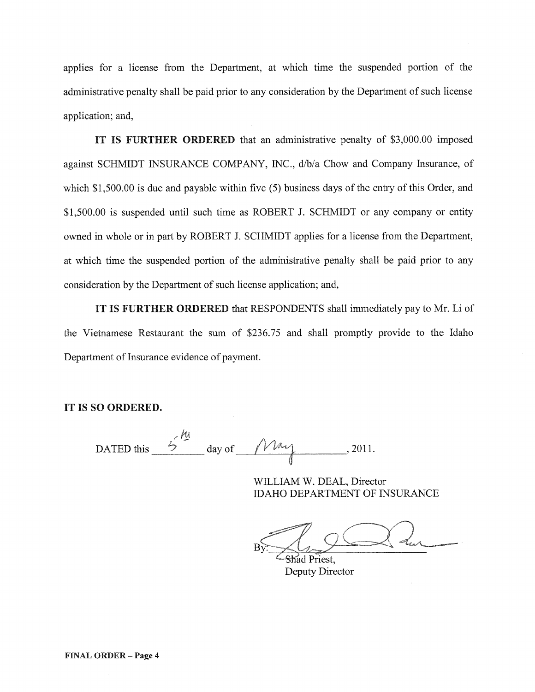applies for a license from the Department, at which time the suspended portion of the administrative penalty shall be paid prior to any consideration by the Department of such license application; and,

IT IS FURTHER ORDERED that an administrative penalty of \$3,000.00 imposed against SCHMIDT INSURANCE COMPANY, INC., d/b/a Chow and Company Insurance, of which \$1,500.00 is due and payable within five (5) business days of the entry of this Order, and \$1,500.00 is suspended until such time as ROBERT J. SCHMIDT or any company or entity owned in whole or in part by ROBERT J. SCHMIDT applies for a license from the Department, at which time the suspended portion of the administrative penalty shall be paid prior to any consideration by the Department of such license application; and,

IT IS FURTHER ORDERED that RESPONDENTS shall immediately pay to Mr. Li of the Vietnamese Restaurant the sum of \$236.75 and shall promptly provide to the Idaho Department of Insurance evidence of payment.

## IT IS SO ORDERED.

DATED this  $\frac{6\frac{h}{3}}{4}$  day of  $\frac{h}{3}$ , 2011.

WILLIAM W. DEAL, Director IDAHO DEPARTMENT OF INSURANCE

Shad Priest. Deputy Director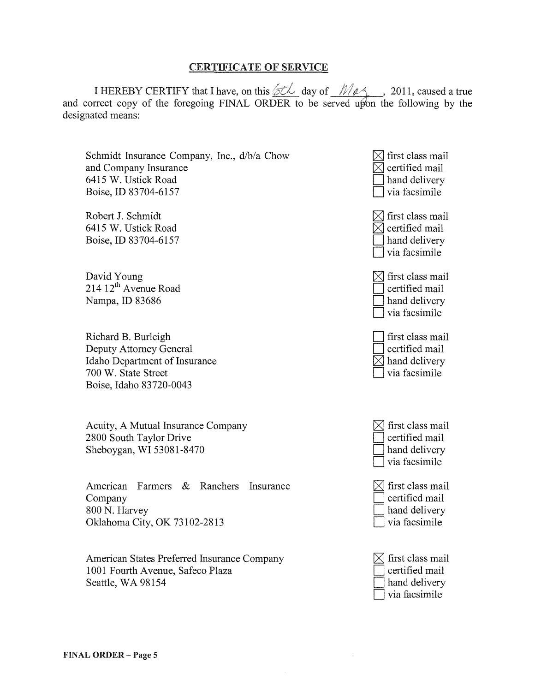## CERTIFICATE OF SERVICE

I HEREBY CERTIFY that I have, on this  $\partial t \sim d$  day of  $\mathcal{M}_{\ell}$  , 2011, caused a true and correct copy of the foregoing FINAL ORDER to be served upon the following by the designated means:

Schmidt Insurance Company, Inc., d/b/a Chow and Company Insurance 6415 W. Ustick Road Boise, ID 83704-6157

Robert J. Schmidt 6415 W. Ustick Road Boise, ID 83704-6157

David Young 214 12<sup>th</sup> Avenue Road Nampa, ID 83686

Richard B. Burleigh Deputy Attorney General Idaho Department of Insurance 700 W. State Street Boise, Idaho 83720-0043

Acuity, A Mutual Insurance Company 2800 South Taylor Drive Sheboygan, WI 53081-8470

American Farmers & Ranchers Insurance Company 800 N. Harvey Oklahoma City, OK 73102-2813

American States Preferred Insurance Company 1001 Fourth Avenue, Safeco Plaza Seattle, WA 98154

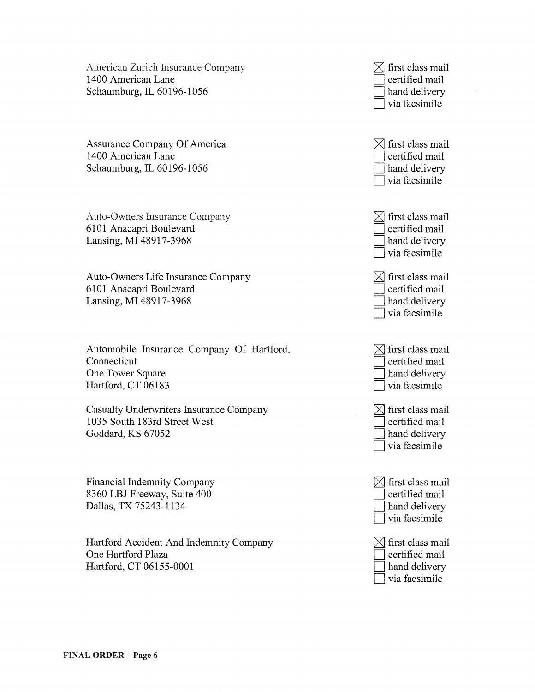American Zurich Insurance Company 1400 American Lane Schaumburg, IL 60196-1056

Assurance Company Of America 1400 American Lane Schaumburg, IL 60196-1056

Auto-Owners Insurance Company 6101 Anacapri Boulevard Lansing, MI 48917-3968

Auto-Owners Life Insurance Company 6101 Anacapri Boulevard Lansing, MI 48917-3968

Automobile Insurance Company Of Hartford, Connecticut One Tower Square Hartford, CT 06183

Casualty Underwriters Insurance Company 1035 South 183rd Street West Goddard, KS 67052

Financial Indemnity Company 8360 LBJ Freeway, Suite 400 Dallas, TX 75243-1134

Hartford Accident And Indemnity Company One Hartford Plaza Hartford, CT 06155-0001

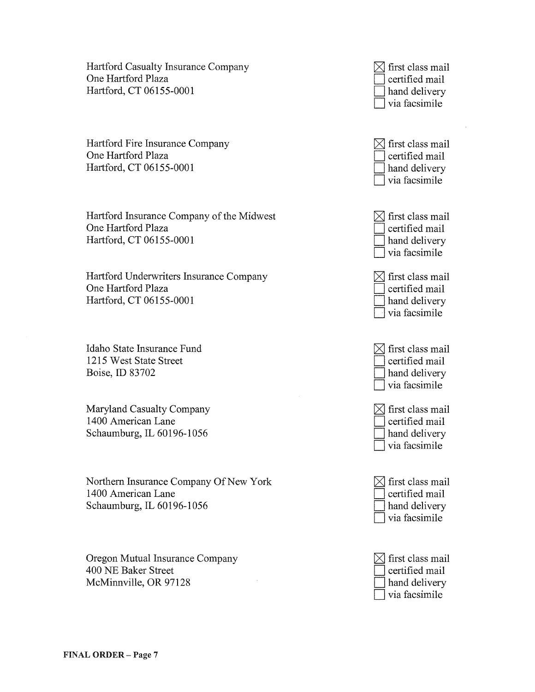Hartford Casualty Insurance Company One Hartford Plaza Hartford, CT 06155-0001

Hartford Fire Insurance Company One Hartford Plaza Hartford, CT 06155-0001

Hartford Insurance Company of the Midwest One Hartford Plaza Hartford, CT 06155-0001

Hartford Underwriters Insurance Company One Hartford Plaza Hartford, CT 06155-0001

Idaho State Insurance Fund 1215 West State Street Boise, ID 83702

Maryland Casualty Company 1400 American Lane Schaumburg, IL 60196-1056

Northern Insurance Company Of New York 1400 American Lane Schaumburg, IL 60196-1056

Oregon Mutual Insurance Company 400 NE Baker Street McMinnville, OR 97128

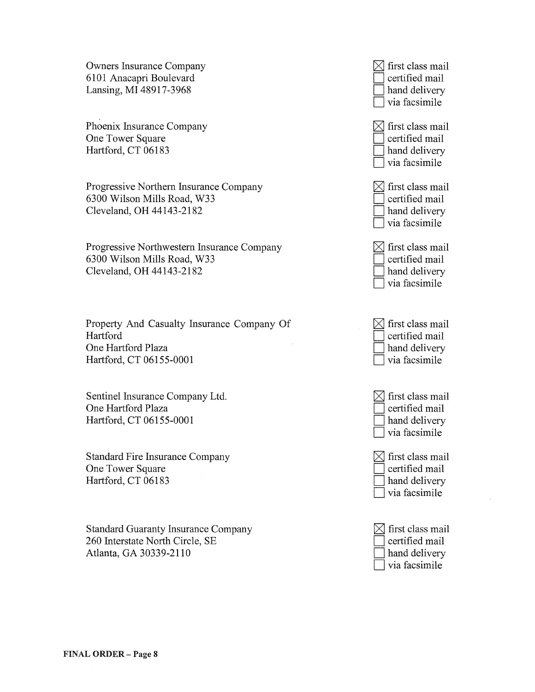Owners Insurance Company 6101 Anacapri Boulevard Lansing, MI 48917-3968

Phoenix Insurance Company One Tower Square Hartford, CT 06183

Progressive Northern Insurance Company 6300 Wilson Mills Road, W33 Cleveland, OH 44143-2182

Progressive Northwestern Insurance Company 6300 Wilson Mills Road, W33 Cleveland, OH 44143-2182

Property And Casualty Insurance Company Of Hartford One Hartford Plaza Hartford, CT 06155-0001

Sentinel Insurance Company Ltd. One Hartford Plaza Hartford, CT 06155-0001

Standard Fire Insurance Company One Tower Square Hartford, CT 06183

Standard Guaranty Insurance Company 260 Interstate North Circle, SE Atlanta, GA 30339-2110